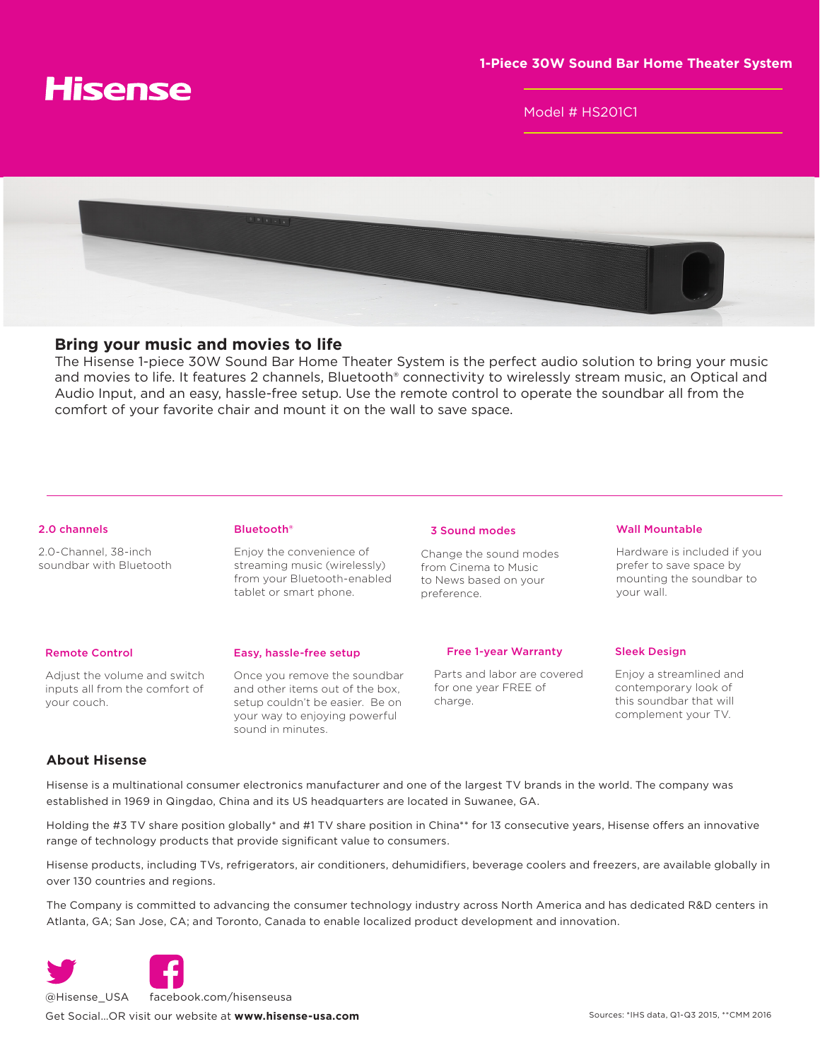

Model # HS201C1



# **Bring your music and movies to life**

The Hisense 1-piece 30W Sound Bar Home Theater System is the perfect audio solution to bring your music and movies to life. It features 2 channels, Bluetooth® connectivity to wirelessly stream music, an Optical and Audio Input, and an easy, hassle-free setup. Use the remote control to operate the soundbar all from the comfort of your favorite chair and mount it on the wall to save space.

## 2.0 channels

2.0-Channel, 38-inch soundbar with Bluetooth Bluetooth®

Enjoy the convenience of streaming music (wirelessly) from your Bluetooth-enabled tablet or smart phone.

## 3 Sound modes

Change the sound modes from Cinema to Music to News based on your preference.

# Wall Mountable

Hardware is included if you prefer to save space by mounting the soundbar to your wall.

# Remote Control

Adjust the volume and switch inputs all from the comfort of your couch.

## Easy, hassle-free setup

Once you remove the soundbar and other items out of the box, setup couldn't be easier. Be on your way to enjoying powerful sound in minutes.

#### Free 1-year Warranty

 Parts and labor are covered for one year FREE of charge.

## Sleek Design

Enjoy a streamlined and contemporary look of this soundbar that will complement your TV.

# **About Hisense**

Hisense is a multinational consumer electronics manufacturer and one of the largest TV brands in the world. The company was established in 1969 in Qingdao, China and its US headquarters are located in Suwanee, GA.

Holding the #3 TV share position globally\* and #1 TV share position in China\*\* for 13 consecutive years, Hisense offers an innovative range of technology products that provide significant value to consumers.

Hisense products, including TVs, refrigerators, air conditioners, dehumidifiers, beverage coolers and freezers, are available globally in over 130 countries and regions.

The Company is committed to advancing the consumer technology industry across North America and has dedicated R&D centers in Atlanta, GA; San Jose, CA; and Toronto, Canada to enable localized product development and innovation.